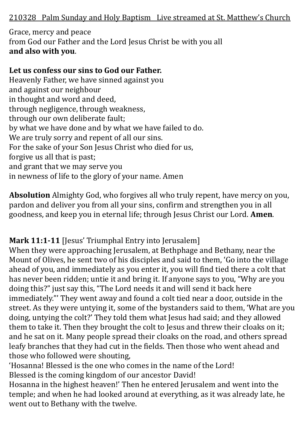## 210328 Palm Sunday and Holy Baptism Live streamed at St. Matthew's Church

Grace, mercy and peace from God our Father and the Lord Jesus Christ be with you all **and also with you**.

## **Let us confess our sins to God our Father.**

Heavenly Father, we have sinned against you and against our neighbour in thought and word and deed, through negligence, through weakness, through our own deliberate fault; by what we have done and by what we have failed to do. We are truly sorry and repent of all our sins. For the sake of your Son Jesus Christ who died for us, forgive us all that is past; and grant that we may serve you in newness of life to the glory of your name. Amen

**Absolution** Almighty God, who forgives all who truly repent, have mercy on you, pardon and deliver you from all your sins, confirm and strengthen you in all goodness, and keep you in eternal life; through Jesus Christ our Lord. **Amen**.

**Mark 11:1-11** [Jesus' Triumphal Entry into Jerusalem]

When they were approaching Jerusalem, at Bethphage and Bethany, near the Mount of Olives, he sent two of his disciples and said to them, 'Go into the village ahead of you, and immediately as you enter it, you will find tied there a colt that has never been ridden; untie it and bring it. If anyone says to you, "Why are you doing this?" just say this, "The Lord needs it and will send it back here immediately."' They went away and found a colt tied near a door, outside in the street. As they were untying it, some of the bystanders said to them, 'What are you doing, untying the colt?' They told them what Jesus had said; and they allowed them to take it. Then they brought the colt to Jesus and threw their cloaks on it; and he sat on it. Many people spread their cloaks on the road, and others spread leafy branches that they had cut in the fields. Then those who went ahead and those who followed were shouting,

'Hosanna! Blessed is the one who comes in the name of the Lord! Blessed is the coming kingdom of our ancestor David!

Hosanna in the highest heaven!' Then he entered Jerusalem and went into the temple; and when he had looked around at everything, as it was already late, he went out to Bethany with the twelve.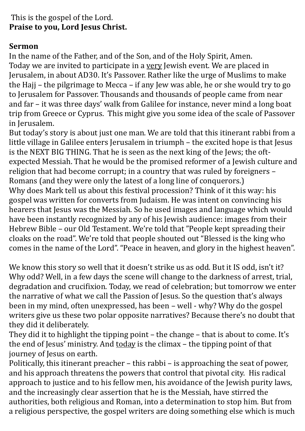#### This is the gospel of the Lord. **Praise to you, Lord Jesus Christ.**

#### **Sermon**

In the name of the Father, and of the Son, and of the Holy Spirit, Amen. Today we are invited to participate in a very Jewish event. We are placed in Jerusalem, in about AD30. It's Passover. Rather like the urge of Muslims to make the Hajj – the pilgrimage to Mecca – if any Jew was able, he or she would try to go to Jerusalem for Passover. Thousands and thousands of people came from near and far – it was three days' walk from Galilee for instance, never mind a long boat trip from Greece or Cyprus. This might give you some idea of the scale of Passover in Jerusalem.

But today's story is about just one man. We are told that this itinerant rabbi from a little village in Galilee enters Jerusalem in triumph – the excited hope is that Jesus is the NEXT BIG THING. That he is seen as the next king of the Jews; the oftexpected Messiah. That he would be the promised reformer of a Jewish culture and religion that had become corrupt; in a country that was ruled by foreigners – Romans (and they were only the latest of a long line of conquerors.) Why does Mark tell us about this festival procession? Think of it this way: his gospel was written for converts from Judaism. He was intent on convincing his hearers that Jesus was the Messiah. So he used images and language which would have been instantly recognized by any of his Jewish audience: images from their Hebrew Bible – our Old Testament. We're told that "People kept spreading their cloaks on the road". We're told that people shouted out "Blessed is the king who comes in the name of the Lord". "Peace in heaven, and glory in the highest heaven".

We know this story so well that it doesn't strike us as odd. But it IS odd, isn't it? Why odd? Well, in a few days the scene will change to the darkness of arrest, trial, degradation and crucifixion. Today, we read of celebration; but tomorrow we enter the narrative of what we call the Passion of Jesus. So the question that's always been in my mind, often unexpressed, has been – well - why? Why do the gospel writers give us these two polar opposite narratives? Because there's no doubt that they did it deliberately.

They did it to highlight the tipping point – the change – that is about to come. It's the end of Jesus' ministry. And today is the climax – the tipping point of that journey of Jesus on earth.

Politically, this itinerant preacher – this rabbi – is approaching the seat of power, and his approach threatens the powers that control that pivotal city. His radical approach to justice and to his fellow men, his avoidance of the Jewish purity laws, and the increasingly clear assertion that he is the Messiah, have stirred the authorities, both religious and Roman, into a determination to stop him. But from a religious perspective, the gospel writers are doing something else which is much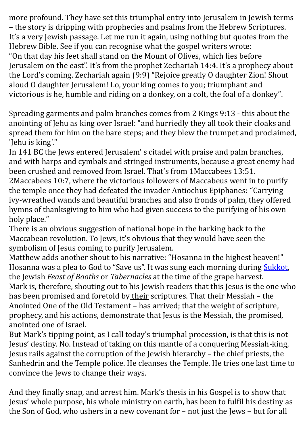more profound. They have set this triumphal entry into Jerusalem in Jewish terms – the story is dripping with prophecies and psalms from the Hebrew Scriptures. It's a very Jewish passage. Let me run it again, using nothing but quotes from the Hebrew Bible. See if you can recognise what the gospel writers wrote: "On that day his feet shall stand on the Mount of Olives, which lies before Jerusalem on the east". It's from the prophet Zechariah 14:4. It's a prophecy about the Lord's coming. Zechariah again (9:9) "Rejoice greatly O daughter Zion! Shout aloud O daughter Jerusalem! Lo, your king comes to you; triumphant and victorious is he, humble and riding on a donkey, on a colt, the foal of a donkey".

Spreading garments and palm branches comes from 2 Kings 9:13 - this about the anointing of Jehu as king over Israel: "and hurriedly they all took their cloaks and spread them for him on the bare steps; and they blew the trumpet and proclaimed, 'Jehu is king'."

In 141 BC the Jews entered Jerusalem' s citadel with praise and palm branches, and with harps and cymbals and stringed instruments, because a great enemy had been crushed and removed from Israel. That's from 1Maccabees 13:51.

2Maccabees 10:7, where the victorious followers of Maccabeus went in to purify the temple once they had defeated the invader Antiochus Epiphanes: "Carrying ivy-wreathed wands and beautiful branches and also fronds of palm, they offered hymns of thanksgiving to him who had given success to the purifying of his own holy place."

There is an obvious suggestion of national hope in the harking back to the Maccabean revolution. To Jews, it's obvious that they would have seen the symbolism of Jesus coming to purify Jerusalem.

Matthew adds another shout to his narrative: "Hosanna in the highest heaven!" Hosanna was a plea to God to "Save us". It was sung each morning during [Sukkot,](http://en.wikipedia.org/wiki/Sukkot) the Jewish *Feast of Booths* or *Tabernacles* at the time of the grape harvest. Mark is, therefore, shouting out to his Jewish readers that this Jesus is the one who has been promised and foretold by their scriptures. That their Messiah - the Anointed One of the Old Testament – has arrived; that the weight of scripture, prophecy, and his actions, demonstrate that Jesus is the Messiah, the promised, anointed one of Israel.

But Mark's tipping point, as I call today's triumphal procession, is that this is not Jesus' destiny. No. Instead of taking on this mantle of a conquering Messiah-king, Jesus rails against the corruption of the Jewish hierarchy – the chief priests, the Sanhedrin and the Temple police. He cleanses the Temple. He tries one last time to convince the Jews to change their ways.

And they finally snap, and arrest him. Mark's thesis in his Gospel is to show that Jesus' whole purpose, his whole ministry on earth, has been to fulfil his destiny as the Son of God, who ushers in a new covenant for – not just the Jews – but for all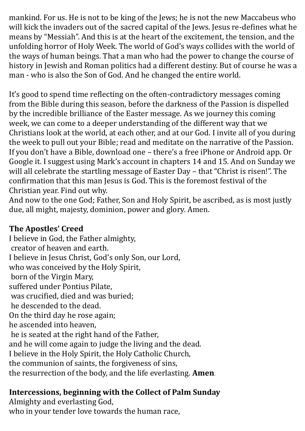mankind. For us. He is not to be king of the Jews; he is not the new Maccabeus who will kick the invaders out of the sacred capital of the Jews. Jesus re-defines what he means by "Messiah". And this is at the heart of the excitement, the tension, and the unfolding horror of Holy Week. The world of God's ways collides with the world of the ways of human beings. That a man who had the power to change the course of history in Jewish and Roman politics had a different destiny. But of course he was a man - who is also the Son of God. And he changed the entire world.

It's good to spend time reflecting on the often-contradictory messages coming from the Bible during this season, before the darkness of the Passion is dispelled by the incredible brilliance of the Easter message. As we journey this coming week, we can come to a deeper understanding of the different way that we Christians look at the world, at each other, and at our God. I invite all of you during the week to pull out your Bible; read and meditate on the narrative of the Passion. If you don't have a Bible, download one – there's a free iPhone or Android app. Or Google it. I suggest using Mark's account in chapters 14 and 15. And on Sunday we will all celebrate the startling message of Easter Day – that "Christ is risen!". The confirmation that this man Jesus is God. This is the foremost festival of the Christian year. Find out why.

And now to the one God; Father, Son and Holy Spirit, be ascribed, as is most justly due, all might, majesty, dominion, power and glory. Amen.

# **The Apostles' Creed**

I believe in God, the Father almighty, creator of heaven and earth. I believe in Jesus Christ, God's only Son, our Lord, who was conceived by the Holy Spirit, born of the Virgin Mary, suffered under Pontius Pilate, was crucified, died and was buried; he descended to the dead. On the third day he rose again; he ascended into heaven, he is seated at the right hand of the Father, and he will come again to judge the living and the dead. I believe in the Holy Spirit, the Holy Catholic Church, the communion of saints, the forgiveness of sins, the resurrection of the body, and the life everlasting. **Amen.** 

# **Intercessions, beginning with the Collect of Palm Sunday**

Almighty and everlasting God, who in your tender love towards the human race,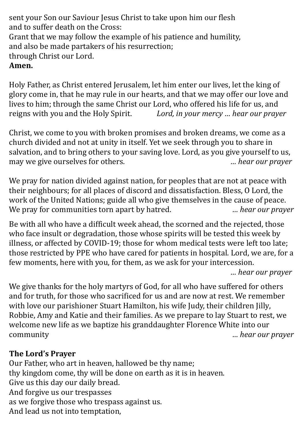sent your Son our Saviour Jesus Christ to take upon him our flesh and to suffer death on the Cross: Grant that we may follow the example of his patience and humility, and also be made partakers of his resurrection; through Christ our Lord. **Amen.**

Holy Father, as Christ entered Jerusalem, let him enter our lives, let the king of glory come in, that he may rule in our hearts, and that we may offer our love and lives to him; through the same Christ our Lord, who offered his life for us, and reigns with you and the Holy Spirit. *Lord, in your mercy … hear our prayer*

Christ, we come to you with broken promises and broken dreams, we come as a church divided and not at unity in itself. Yet we seek through you to share in salvation, and to bring others to your saving love. Lord, as you give yourself to us, may we give ourselves for others. *… hear our prayer*

We pray for nation divided against nation, for peoples that are not at peace with their neighbours; for all places of discord and dissatisfaction. Bless, O Lord, the work of the United Nations; guide all who give themselves in the cause of peace. We pray for communities torn apart by hatred. *… hear our prayer*

Be with all who have a difficult week ahead, the scorned and the rejected, those who face insult or degradation, those whose spirits will be tested this week by illness, or affected by COVID-19; those for whom medical tests were left too late; those restricted by PPE who have cared for patients in hospital. Lord, we are, for a few moments, here with you, for them, as we ask for your intercession.

*… hear our prayer*

We give thanks for the holy martyrs of God, for all who have suffered for others and for truth, for those who sacrificed for us and are now at rest. We remember with love our parishioner Stuart Hamilton, his wife Judy, their children Jilly, Robbie, Amy and Katie and their families. As we prepare to lay Stuart to rest, we welcome new life as we baptize his granddaughter Florence White into our community *… hear our prayer*

# **The Lord's Prayer**

Our Father, who art in heaven, hallowed be thy name; thy kingdom come, thy will be done on earth as it is in heaven. Give us this day our daily bread. And forgive us our trespasses as we forgive those who trespass against us. And lead us not into temptation,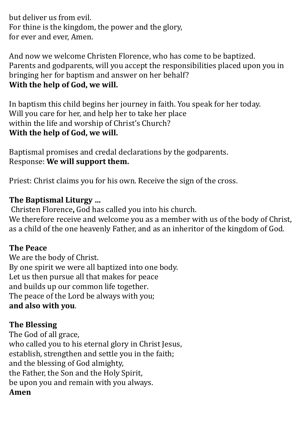but deliver us from evil. For thine is the kingdom, the power and the glory, for ever and ever, Amen.

And now we welcome Christen Florence, who has come to be baptized. Parents and godparents, will you accept the responsibilities placed upon you in bringing her for baptism and answer on her behalf? **With the help of God, we will.**

In baptism this child begins her journey in faith. You speak for her today. Will you care for her, and help her to take her place within the life and worship of Christ's Church? **With the help of God, we will.**

Baptismal promises and credal declarations by the godparents. Response: **We will support them.**

Priest: Christ claims you for his own. Receive the sign of the cross.

# **The Baptismal Liturgy …**

Christen Florence**,** God has called you into his church. We therefore receive and welcome you as a member with us of the body of Christ, as a child of the one heavenly Father, and as an inheritor of the kingdom of God.

### **The Peace**

We are the body of Christ. By one spirit we were all baptized into one body. Let us then pursue all that makes for peace and builds up our common life together. The peace of the Lord be always with you; **and also with you**.

# **The Blessing**

The God of all grace, who called you to his eternal glory in Christ Jesus, establish, strengthen and settle you in the faith; and the blessing of God almighty, the Father, the Son and the Holy Spirit, be upon you and remain with you always. **Amen**